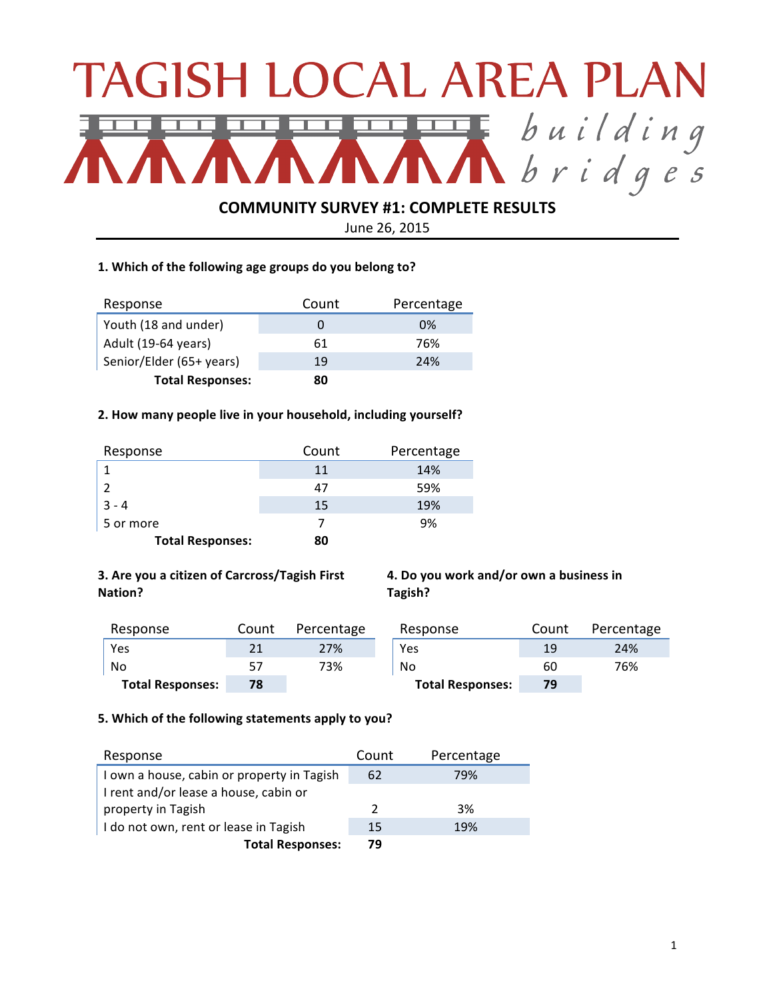# TAGISH LOCAL AREA PLAN Ebuilding<br>Noridges 工

# **COMMUNITY SURVEY #1: COMPLETE RESULTS**

June 26, 2015

# 1. Which of the following age groups do you belong to?

| Response                 | Count | Percentage |
|--------------------------|-------|------------|
| Youth (18 and under)     |       | 0%         |
| Adult (19-64 years)      | 61    | 76%        |
| Senior/Elder (65+ years) | 19    | 24%        |
| <b>Total Responses:</b>  | 80    |            |

## 2. How many people live in your household, including yourself?

| Response                | Count | Percentage |
|-------------------------|-------|------------|
|                         | 11    | 14%        |
|                         | 47    | 59%        |
| $3 - 4$                 | 15    | 19%        |
| 5 or more               |       | 9%         |
| <b>Total Responses:</b> | 80    |            |

# **3. Are you a citizen of Carcross/Tagish First Nation?**

**4.** Do you work and/or own a business in **Tagish?** 

| Response                | Count | Percentage | Response                | Count | Percentage |
|-------------------------|-------|------------|-------------------------|-------|------------|
| Yes                     | 21    | 27%        | Yes                     | 19    | 24%        |
| No                      |       | 73%        | No                      | 60    | 76%        |
| <b>Total Responses:</b> | 78    |            | <b>Total Responses:</b> | 79    |            |

## 5. Which of the following statements apply to you?

| Response                                   | Count         | Percentage |
|--------------------------------------------|---------------|------------|
| I own a house, cabin or property in Tagish | 62            | 79%        |
| I rent and/or lease a house, cabin or      |               |            |
| property in Tagish                         | $\mathcal{L}$ | 3%         |
| I do not own, rent or lease in Tagish      | 15            | 19%        |
| <b>Total Responses:</b>                    | 79            |            |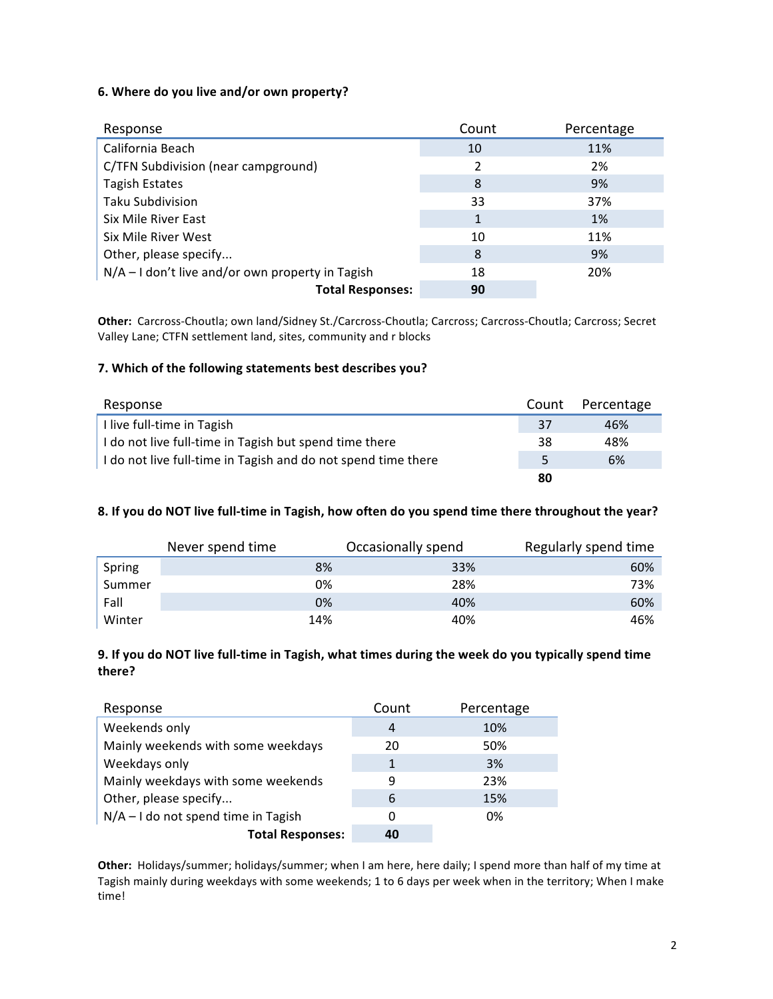# **6.** Where do you live and/or own property?

| Response                                           | Count | Percentage |
|----------------------------------------------------|-------|------------|
| California Beach                                   | 10    | 11%        |
| C/TFN Subdivision (near campground)                | 2     | 2%         |
| <b>Tagish Estates</b>                              | 8     | 9%         |
| <b>Taku Subdivision</b>                            | 33    | 37%        |
| Six Mile River East                                | 1     | 1%         |
| Six Mile River West                                | 10    | 11%        |
| Other, please specify                              | 8     | 9%         |
| $N/A - I$ don't live and/or own property in Tagish | 18    | 20%        |
| <b>Total Responses:</b>                            | 90    |            |

Other: Carcross-Choutla; own land/Sidney St./Carcross-Choutla; Carcross; Carcross-Choutla; Carcross; Secret Valley Lane; CTFN settlement land, sites, community and r blocks

## **7. Which of the following statements best describes you?**

| Response                                                      | Count | Percentage |
|---------------------------------------------------------------|-------|------------|
| I live full-time in Tagish                                    | 37    | 46%        |
| I do not live full-time in Tagish but spend time there        | 38    | 48%        |
| I do not live full-time in Tagish and do not spend time there | 5     | 6%         |
|                                                               | 80    |            |

## 8. If you do NOT live full-time in Tagish, how often do you spend time there throughout the year?

|        | Never spend time | Occasionally spend | Regularly spend time |
|--------|------------------|--------------------|----------------------|
| Spring | 8%               | 33%                | 60%                  |
| Summer | 0%               | 28%                | 73%                  |
| Fall   | 0%               | 40%                | 60%                  |
| Winter | 14%              | 40%                | 46%                  |

# **9.** If you do NOT live full-time in Tagish, what times during the week do you typically spend time **there?**

| Response                              | Count | Percentage |
|---------------------------------------|-------|------------|
| Weekends only                         | 4     | 10%        |
| Mainly weekends with some weekdays    | 20    | 50%        |
| Weekdays only                         | 1     | 3%         |
| Mainly weekdays with some weekends    | 9     | 23%        |
| Other, please specify                 | 6     | 15%        |
| $N/A - I$ do not spend time in Tagish | 0     | 0%         |
| <b>Total Responses:</b>               | 40    |            |

Other: Holidays/summer; holidays/summer; when I am here, here daily; I spend more than half of my time at Tagish mainly during weekdays with some weekends; 1 to 6 days per week when in the territory; When I make time!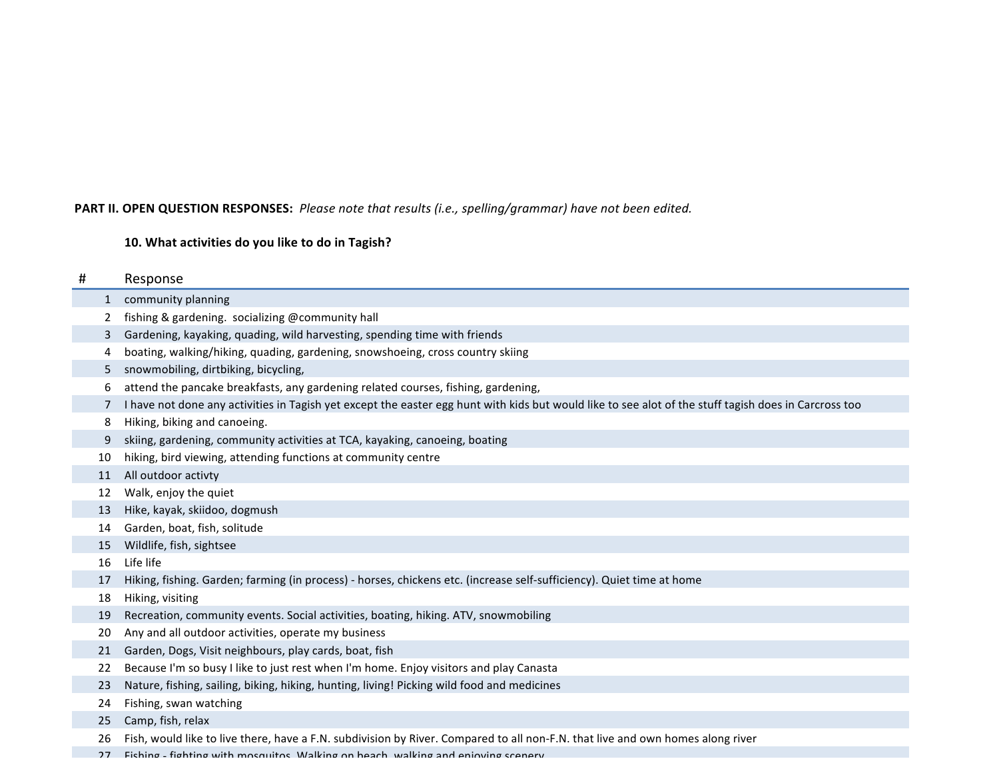# PART II. OPEN QUESTION RESPONSES: Please note that results (i.e., spelling/grammar) have not been edited.

# 10. What activities do you like to do in Tagish?

| # |              | Response                                                                                                                                              |
|---|--------------|-------------------------------------------------------------------------------------------------------------------------------------------------------|
|   | $\mathbf{1}$ | community planning                                                                                                                                    |
|   | 2            | fishing & gardening. socializing @community hall                                                                                                      |
|   | 3            | Gardening, kayaking, quading, wild harvesting, spending time with friends                                                                             |
|   | 4            | boating, walking/hiking, quading, gardening, snowshoeing, cross country skiing                                                                        |
|   | 5            | snowmobiling, dirtbiking, bicycling,                                                                                                                  |
|   | 6            | attend the pancake breakfasts, any gardening related courses, fishing, gardening,                                                                     |
|   | 7            | I have not done any activities in Tagish yet except the easter egg hunt with kids but would like to see alot of the stuff tagish does in Carcross too |
|   | 8            | Hiking, biking and canoeing.                                                                                                                          |
|   | 9            | skiing, gardening, community activities at TCA, kayaking, canoeing, boating                                                                           |
|   | 10           | hiking, bird viewing, attending functions at community centre                                                                                         |
|   | 11           | All outdoor activty                                                                                                                                   |
|   | 12           | Walk, enjoy the quiet                                                                                                                                 |
|   | 13           | Hike, kayak, skiidoo, dogmush                                                                                                                         |
|   | 14           | Garden, boat, fish, solitude                                                                                                                          |
|   | 15           | Wildlife, fish, sightsee                                                                                                                              |
|   | 16           | Life life                                                                                                                                             |
|   | 17           | Hiking, fishing. Garden; farming (in process) - horses, chickens etc. (increase self-sufficiency). Quiet time at home                                 |
|   | 18           | Hiking, visiting                                                                                                                                      |
|   | 19           | Recreation, community events. Social activities, boating, hiking. ATV, snowmobiling                                                                   |
|   | 20           | Any and all outdoor activities, operate my business                                                                                                   |
|   | 21           | Garden, Dogs, Visit neighbours, play cards, boat, fish                                                                                                |
|   | 22           | Because I'm so busy I like to just rest when I'm home. Enjoy visitors and play Canasta                                                                |
|   | 23           | Nature, fishing, sailing, biking, hiking, hunting, living! Picking wild food and medicines                                                            |
|   | 24           | Fishing, swan watching                                                                                                                                |
|   | 25           | Camp, fish, relax                                                                                                                                     |
|   | 26           | Fish, would like to live there, have a F.N. subdivision by River. Compared to all non-F.N. that live and own homes along river                        |
|   | 27           | Fiching - fighting with mosquitos Walking on heach walking and enjoying scenery                                                                       |
|   | ີ            | $-1.1.1$                                                                                                                                              |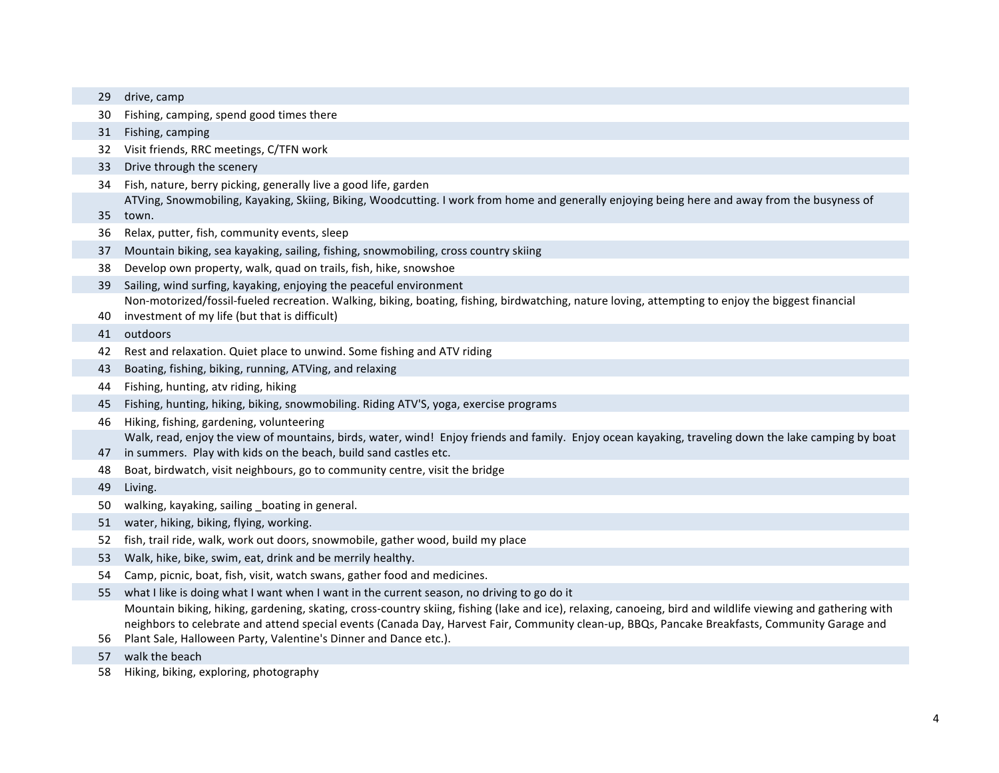| 29 | drive, camp                                                                                                                                                 |
|----|-------------------------------------------------------------------------------------------------------------------------------------------------------------|
| 30 | Fishing, camping, spend good times there                                                                                                                    |
| 31 | Fishing, camping                                                                                                                                            |
| 32 | Visit friends, RRC meetings, C/TFN work                                                                                                                     |
| 33 | Drive through the scenery                                                                                                                                   |
| 34 | Fish, nature, berry picking, generally live a good life, garden                                                                                             |
|    | ATVing, Snowmobiling, Kayaking, Skiing, Biking, Woodcutting. I work from home and generally enjoying being here and away from the busyness of               |
| 35 | town.                                                                                                                                                       |
| 36 | Relax, putter, fish, community events, sleep                                                                                                                |
| 37 | Mountain biking, sea kayaking, sailing, fishing, snowmobiling, cross country skiing                                                                         |
| 38 | Develop own property, walk, quad on trails, fish, hike, snowshoe                                                                                            |
| 39 | Sailing, wind surfing, kayaking, enjoying the peaceful environment                                                                                          |
|    | Non-motorized/fossil-fueled recreation. Walking, biking, boating, fishing, birdwatching, nature loving, attempting to enjoy the biggest financial           |
| 40 | investment of my life (but that is difficult)                                                                                                               |
| 41 | outdoors                                                                                                                                                    |
| 42 | Rest and relaxation. Quiet place to unwind. Some fishing and ATV riding                                                                                     |
| 43 | Boating, fishing, biking, running, ATVing, and relaxing                                                                                                     |
| 44 | Fishing, hunting, atv riding, hiking                                                                                                                        |
| 45 | Fishing, hunting, hiking, biking, snowmobiling. Riding ATV'S, yoga, exercise programs                                                                       |
| 46 | Hiking, fishing, gardening, volunteering                                                                                                                    |
|    | Walk, read, enjoy the view of mountains, birds, water, wind! Enjoy friends and family. Enjoy ocean kayaking, traveling down the lake camping by boat        |
| 47 | in summers. Play with kids on the beach, build sand castles etc.                                                                                            |
| 48 | Boat, birdwatch, visit neighbours, go to community centre, visit the bridge                                                                                 |
| 49 | Living.                                                                                                                                                     |
| 50 | walking, kayaking, sailing _boating in general.                                                                                                             |
| 51 | water, hiking, biking, flying, working.                                                                                                                     |
| 52 | fish, trail ride, walk, work out doors, snowmobile, gather wood, build my place                                                                             |
| 53 | Walk, hike, bike, swim, eat, drink and be merrily healthy.                                                                                                  |
| 54 | Camp, picnic, boat, fish, visit, watch swans, gather food and medicines.                                                                                    |
| 55 | what I like is doing what I want when I want in the current season, no driving to go do it                                                                  |
|    | Mountain biking, hiking, gardening, skating, cross-country skiing, fishing (lake and ice), relaxing, canoeing, bird and wildlife viewing and gathering with |
|    | neighbors to celebrate and attend special events (Canada Day, Harvest Fair, Community clean-up, BBQs, Pancake Breakfasts, Community Garage and              |
| 56 | Plant Sale, Halloween Party, Valentine's Dinner and Dance etc.).                                                                                            |
| 57 | walk the beach                                                                                                                                              |

58 Hiking, biking, exploring, photography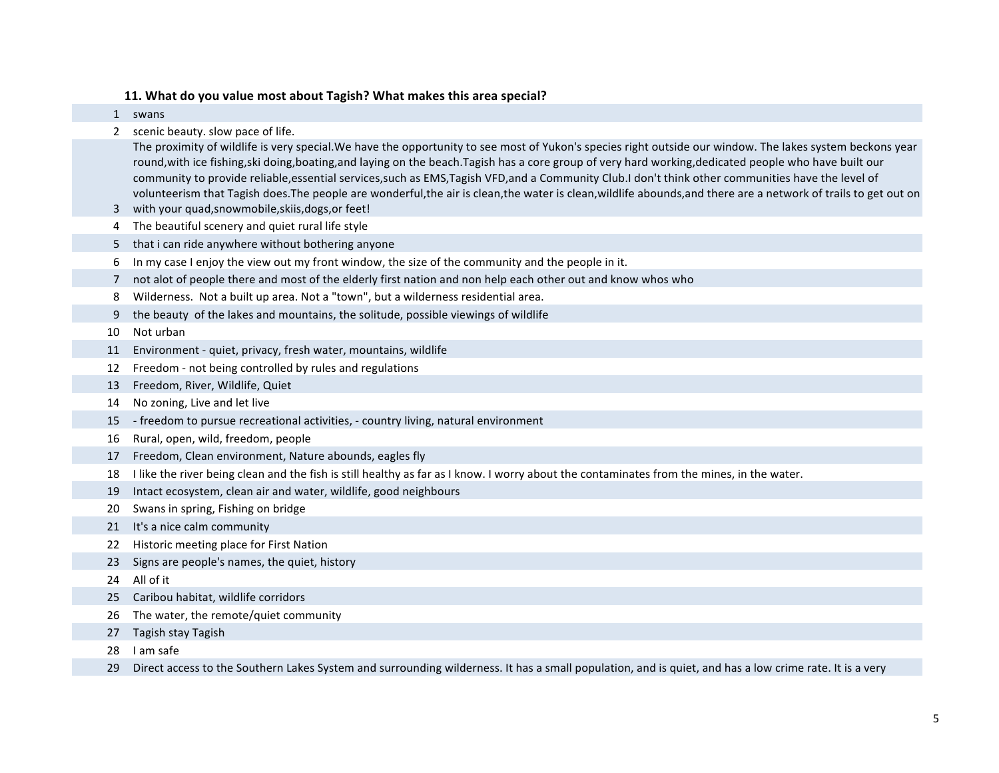# 11. What do you value most about Tagish? What makes this area special?

|    | 1 swans                                                                                                                                                                                                                                                                                                                 |
|----|-------------------------------------------------------------------------------------------------------------------------------------------------------------------------------------------------------------------------------------------------------------------------------------------------------------------------|
| 2  | scenic beauty. slow pace of life.                                                                                                                                                                                                                                                                                       |
|    | The proximity of wildlife is very special. We have the opportunity to see most of Yukon's species right outside our window. The lakes system beckons year                                                                                                                                                               |
|    | round, with ice fishing, ski doing, boating, and laying on the beach. Tagish has a core group of very hard working, dedicated people who have built our                                                                                                                                                                 |
|    | community to provide reliable, essential services, such as EMS, Tagish VFD, and a Community Club. I don't think other communities have the level of<br>volunteerism that Tagish does. The people are wonderful, the air is clean, the water is clean, wildlife abounds, and there are a network of trails to get out on |
| 3  | with your quad, snowmobile, skiis, dogs, or feet!                                                                                                                                                                                                                                                                       |
| 4  | The beautiful scenery and quiet rural life style                                                                                                                                                                                                                                                                        |
| 5  | that i can ride anywhere without bothering anyone                                                                                                                                                                                                                                                                       |
| 6  | In my case I enjoy the view out my front window, the size of the community and the people in it.                                                                                                                                                                                                                        |
| 7  | not alot of people there and most of the elderly first nation and non help each other out and know whos who                                                                                                                                                                                                             |
| 8  | Wilderness. Not a built up area. Not a "town", but a wilderness residential area.                                                                                                                                                                                                                                       |
| 9  | the beauty of the lakes and mountains, the solitude, possible viewings of wildlife                                                                                                                                                                                                                                      |
| 10 | Not urban                                                                                                                                                                                                                                                                                                               |
| 11 | Environment - quiet, privacy, fresh water, mountains, wildlife                                                                                                                                                                                                                                                          |
| 12 | Freedom - not being controlled by rules and regulations                                                                                                                                                                                                                                                                 |
| 13 | Freedom, River, Wildlife, Quiet                                                                                                                                                                                                                                                                                         |
| 14 | No zoning, Live and let live                                                                                                                                                                                                                                                                                            |
| 15 | - freedom to pursue recreational activities, - country living, natural environment                                                                                                                                                                                                                                      |
| 16 | Rural, open, wild, freedom, people                                                                                                                                                                                                                                                                                      |
| 17 | Freedom, Clean environment, Nature abounds, eagles fly                                                                                                                                                                                                                                                                  |
| 18 | I like the river being clean and the fish is still healthy as far as I know. I worry about the contaminates from the mines, in the water.                                                                                                                                                                               |
| 19 | Intact ecosystem, clean air and water, wildlife, good neighbours                                                                                                                                                                                                                                                        |
| 20 | Swans in spring, Fishing on bridge                                                                                                                                                                                                                                                                                      |
| 21 | It's a nice calm community                                                                                                                                                                                                                                                                                              |
| 22 | Historic meeting place for First Nation                                                                                                                                                                                                                                                                                 |
| 23 | Signs are people's names, the quiet, history                                                                                                                                                                                                                                                                            |
| 24 | All of it                                                                                                                                                                                                                                                                                                               |
| 25 | Caribou habitat, wildlife corridors                                                                                                                                                                                                                                                                                     |
| 26 | The water, the remote/quiet community                                                                                                                                                                                                                                                                                   |
| 27 | Tagish stay Tagish                                                                                                                                                                                                                                                                                                      |
| 28 | I am safe                                                                                                                                                                                                                                                                                                               |
| 29 | Direct access to the Southern Lakes System and surrounding wilderness. It has a small population, and is quiet, and has a low crime rate. It is a very                                                                                                                                                                  |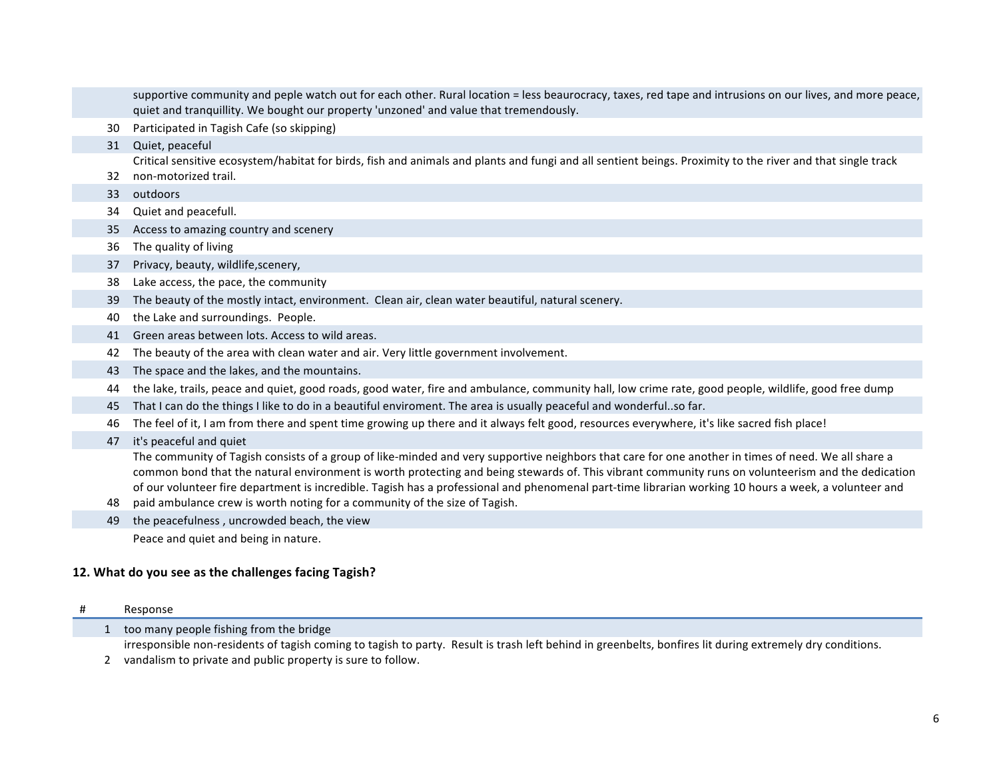|    | supportive community and peple watch out for each other. Rural location = less beaurocracy, taxes, red tape and intrusions on our lives, and more peace,<br>quiet and tranquillity. We bought our property 'unzoned' and value that tremendously.                                                                                                                                                                                                                                                                                                |
|----|--------------------------------------------------------------------------------------------------------------------------------------------------------------------------------------------------------------------------------------------------------------------------------------------------------------------------------------------------------------------------------------------------------------------------------------------------------------------------------------------------------------------------------------------------|
| 30 | Participated in Tagish Cafe (so skipping)                                                                                                                                                                                                                                                                                                                                                                                                                                                                                                        |
| 31 | Quiet, peaceful                                                                                                                                                                                                                                                                                                                                                                                                                                                                                                                                  |
| 32 | Critical sensitive ecosystem/habitat for birds, fish and animals and plants and fungi and all sentient beings. Proximity to the river and that single track<br>non-motorized trail.                                                                                                                                                                                                                                                                                                                                                              |
| 33 | outdoors                                                                                                                                                                                                                                                                                                                                                                                                                                                                                                                                         |
| 34 | Quiet and peacefull.                                                                                                                                                                                                                                                                                                                                                                                                                                                                                                                             |
| 35 | Access to amazing country and scenery                                                                                                                                                                                                                                                                                                                                                                                                                                                                                                            |
| 36 | The quality of living                                                                                                                                                                                                                                                                                                                                                                                                                                                                                                                            |
| 37 | Privacy, beauty, wildlife, scenery,                                                                                                                                                                                                                                                                                                                                                                                                                                                                                                              |
| 38 | Lake access, the pace, the community                                                                                                                                                                                                                                                                                                                                                                                                                                                                                                             |
| 39 | The beauty of the mostly intact, environment. Clean air, clean water beautiful, natural scenery.                                                                                                                                                                                                                                                                                                                                                                                                                                                 |
| 40 | the Lake and surroundings. People.                                                                                                                                                                                                                                                                                                                                                                                                                                                                                                               |
| 41 | Green areas between lots. Access to wild areas.                                                                                                                                                                                                                                                                                                                                                                                                                                                                                                  |
| 42 | The beauty of the area with clean water and air. Very little government involvement.                                                                                                                                                                                                                                                                                                                                                                                                                                                             |
| 43 | The space and the lakes, and the mountains.                                                                                                                                                                                                                                                                                                                                                                                                                                                                                                      |
| 44 | the lake, trails, peace and quiet, good roads, good water, fire and ambulance, community hall, low crime rate, good people, wildlife, good free dump                                                                                                                                                                                                                                                                                                                                                                                             |
| 45 | That I can do the things I like to do in a beautiful enviroment. The area is usually peaceful and wonderfulso far.                                                                                                                                                                                                                                                                                                                                                                                                                               |
| 46 | The feel of it, I am from there and spent time growing up there and it always felt good, resources everywhere, it's like sacred fish place!                                                                                                                                                                                                                                                                                                                                                                                                      |
| 47 | it's peaceful and quiet                                                                                                                                                                                                                                                                                                                                                                                                                                                                                                                          |
| 48 | The community of Tagish consists of a group of like-minded and very supportive neighbors that care for one another in times of need. We all share a<br>common bond that the natural environment is worth protecting and being stewards of. This vibrant community runs on volunteerism and the dedication<br>of our volunteer fire department is incredible. Tagish has a professional and phenomenal part-time librarian working 10 hours a week, a volunteer and<br>paid ambulance crew is worth noting for a community of the size of Tagish. |
| 49 | the peacefulness, uncrowded beach, the view                                                                                                                                                                                                                                                                                                                                                                                                                                                                                                      |
|    | Peace and quiet and being in nature.                                                                                                                                                                                                                                                                                                                                                                                                                                                                                                             |

# 12. What do you see as the challenges facing Tagish?

| # | Response |
|---|----------|
|   |          |

1 too many people fishing from the bridge

irresponsible non-residents of tagish coming to tagish to party. Result is trash left behind in greenbelts, bonfires lit during extremely dry conditions.

2 vandalism to private and public property is sure to follow.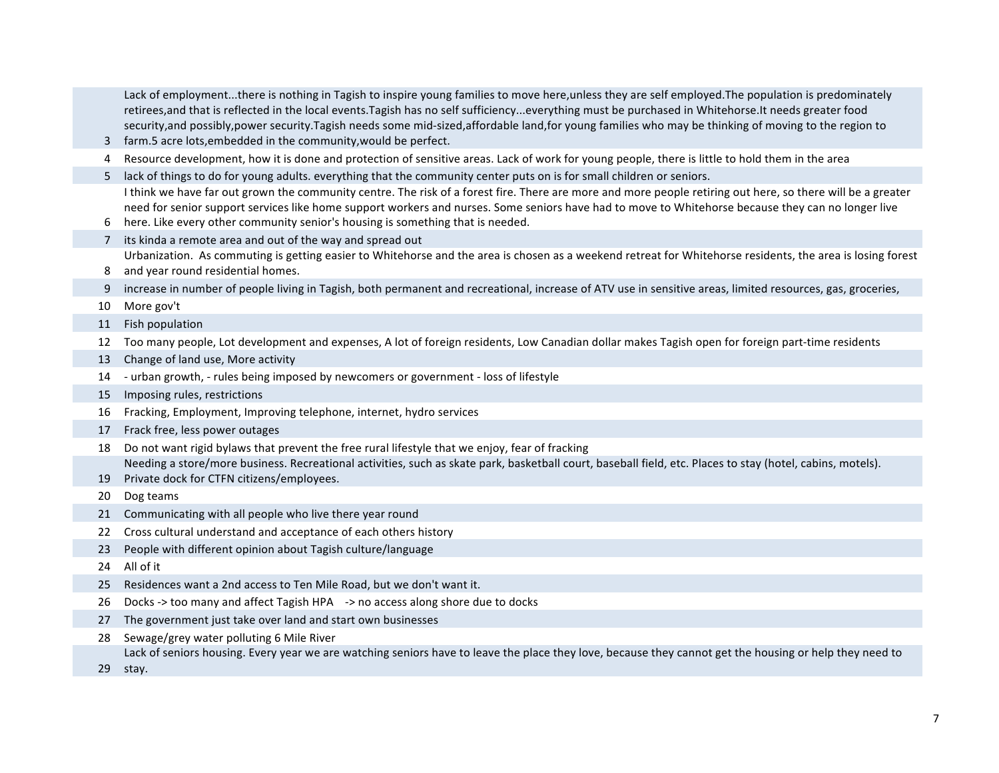3 farm.5 acre lots, embedded in the community, would be perfect. Lack of employment...there is nothing in Tagish to inspire young families to move here, unless they are self employed.The population is predominately retirees, and that is reflected in the local events.Tagish has no self sufficiency...everything must be purchased in Whitehorse.It needs greater food security, and possibly, power security. Tagish needs some mid-sized, affordable land, for young families who may be thinking of moving to the region to 4 Resource development, how it is done and protection of sensitive areas. Lack of work for young people, there is little to hold them in the area 5 lack of things to do for young adults. everything that the community center puts on is for small children or seniors. 6 here. Like every other community senior's housing is something that is needed. I think we have far out grown the community centre. The risk of a forest fire. There are more and more people retiring out here, so there will be a greater need for senior support services like home support workers and nurses. Some seniors have had to move to Whitehorse because they can no longer live 7 its kinda a remote area and out of the way and spread out 8 and year round residential homes. Urbanization. As commuting is getting easier to Whitehorse and the area is chosen as a weekend retreat for Whitehorse residents, the area is losing forest 9 increase in number of people living in Tagish, both permanent and recreational, increase of ATV use in sensitive areas, limited resources, gas, groceries, 10 More gov't 11 Fish population 12 Too many people, Lot development and expenses, A lot of foreign residents, Low Canadian dollar makes Tagish open for foreign part-time residents 13 Change of land use, More activity 14 - urban growth, - rules being imposed by newcomers or government - loss of lifestyle 15 Imposing rules, restrictions 16 Fracking, Employment, Improving telephone, internet, hydro services 17 Frack free, less power outages 18 Do not want rigid bylaws that prevent the free rural lifestyle that we enjoy, fear of fracking 19 Private dock for CTFN citizens/employees. Needing a store/more business. Recreational activities, such as skate park, basketball court, baseball field, etc. Places to stay (hotel, cabins, motels). 20 Dog teams 21 Communicating with all people who live there year round 22 Cross cultural understand and acceptance of each others history 23 People with different opinion about Tagish culture/language 24 All of it 25 Residences want a 2nd access to Ten Mile Road, but we don't want it. 26 Docks -> too many and affect Tagish HPA -> no access along shore due to docks 27 The government just take over land and start own businesses 28 Sewage/grey water polluting 6 Mile River 29 stay.Lack of seniors housing. Every year we are watching seniors have to leave the place they love, because they cannot get the housing or help they need to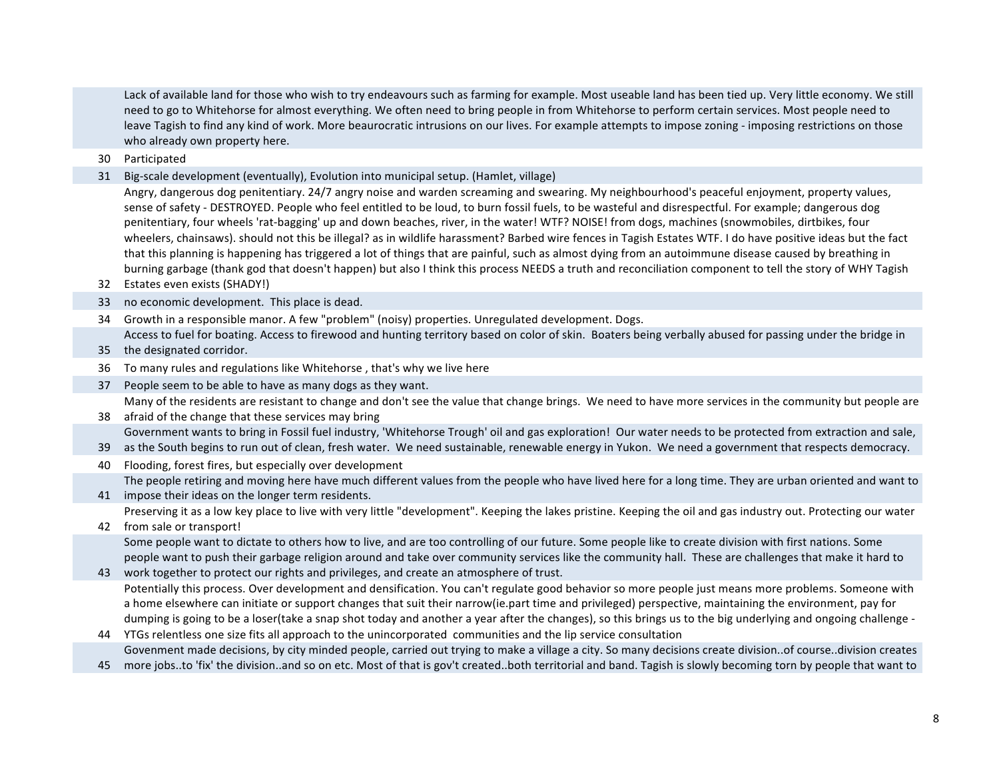Lack of available land for those who wish to try endeavours such as farming for example. Most useable land has been tied up. Very little economy. We still need to go to Whitehorse for almost everything. We often need to bring people in from Whitehorse to perform certain services. Most people need to leave Tagish to find any kind of work. More beaurocratic intrusions on our lives. For example attempts to impose zoning - imposing restrictions on those who already own property here.

30 Participated

31 Big-scale development (eventually), Evolution into municipal setup. (Hamlet, village)

Angry, dangerous dog penitentiary. 24/7 angry noise and warden screaming and swearing. My neighbourhood's peaceful enjoyment, property values, sense of safety - DESTROYED. People who feel entitled to be loud, to burn fossil fuels, to be wasteful and disrespectful. For example; dangerous dog penitentiary, four wheels 'rat-bagging' up and down beaches, river, in the water! WTF? NOISE! from dogs, machines (snowmobiles, dirtbikes, four wheelers, chainsaws). should not this be illegal? as in wildlife harassment? Barbed wire fences in Tagish Estates WTF. I do have positive ideas but the fact that this planning is happening has triggered a lot of things that are painful, such as almost dying from an autoimmune disease caused by breathing in burning garbage (thank god that doesn't happen) but also I think this process NEEDS a truth and reconciliation component to tell the story of WHY Tagish

- 32 Estates even exists (SHADY!)
- 33 no economic development. This place is dead.
- 34 Growth in a responsible manor. A few "problem" (noisy) properties. Unregulated development. Dogs. Access to fuel for boating. Access to firewood and hunting territory based on color of skin. Boaters being verbally abused for passing under the bridge in
- 35 the designated corridor.
- 36 To many rules and regulations like Whitehorse, that's why we live here
- 37 People seem to be able to have as many dogs as they want. Many of the residents are resistant to change and don't see the value that change brings. We need to have more services in the community but people are
- 38 afraid of the change that these services may bring Government wants to bring in Fossil fuel industry, 'Whitehorse Trough' oil and gas exploration! Our water needs to be protected from extraction and sale,
- 39 as the South begins to run out of clean, fresh water. We need sustainable, renewable energy in Yukon. We need a government that respects democracy.
- 40 Flooding, forest fires, but especially over development The people retiring and moving here have much different values from the people who have lived here for a long time. They are urban oriented and want to
- 41 impose their ideas on the longer term residents. Preserving it as a low key place to live with very little "development". Keeping the lakes pristine. Keeping the oil and gas industry out. Protecting our water

### 42 from sale or transport! Some people want to dictate to others how to live, and are too controlling of our future. Some people like to create division with first nations. Some people want to push their garbage religion around and take over community services like the community hall. These are challenges that make it hard to

- 43 work together to protect our rights and privileges, and create an atmosphere of trust. Potentially this process. Over development and densification. You can't regulate good behavior so more people just means more problems. Someone with a home elsewhere can initiate or support changes that suit their narrow(ie.part time and privileged) perspective, maintaining the environment, pay for dumping is going to be a loser(take a snap shot today and another a year after the changes), so this brings us to the big underlying and ongoing challenge -
- 44 YTGs relentless one size fits all approach to the unincorporated communities and the lip service consultation Govenment made decisions, by city minded people, carried out trying to make a village a city. So many decisions create division..of course..division creates
- 45 more jobs..to 'fix' the division..and so on etc. Most of that is gov't created..both territorial and band. Tagish is slowly becoming torn by people that want to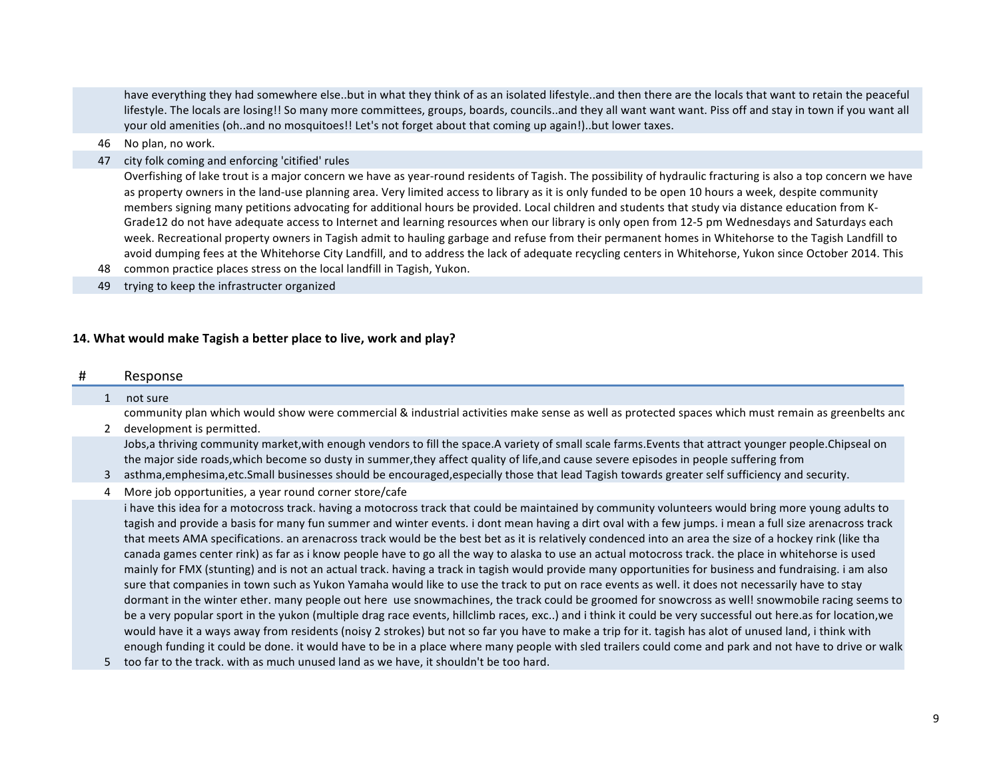have everything they had somewhere else..but in what they think of as an isolated lifestyle..and then there are the locals that want to retain the peaceful lifestyle. The locals are losing!! So many more committees, groups, boards, councils..and they all want want want. Piss off and stay in town if you want all your old amenities (oh..and no mosquitoes!! Let's not forget about that coming up again!)..but lower taxes.

- 46 No plan, no work.
- 47 city folk coming and enforcing 'citified' rules

Overfishing of lake trout is a major concern we have as year-round residents of Tagish. The possibility of hydraulic fracturing is also a top concern we have as property owners in the land-use planning area. Very limited access to library as it is only funded to be open 10 hours a week, despite community members signing many petitions advocating for additional hours be provided. Local children and students that study via distance education from K-Grade12 do not have adequate access to Internet and learning resources when our library is only open from 12-5 pm Wednesdays and Saturdays each week. Recreational property owners in Tagish admit to hauling garbage and refuse from their permanent homes in Whitehorse to the Tagish Landfill to avoid dumping fees at the Whitehorse City Landfill, and to address the lack of adequate recycling centers in Whitehorse, Yukon since October 2014. This

48 common practice places stress on the local landfill in Tagish, Yukon.

49 trying to keep the infrastructer organized

## 14. What would make Tagish a better place to live, work and play?

#### # Response

#### 1 not sure

2 development is permitted. community plan which would show were commercial & industrial activities make sense as well as protected spaces which must remain as greenbelts anc

Jobs, a thriving community market, with enough vendors to fill the space. A variety of small scale farms. Events that attract younger people. Chipseal on the major side roads, which become so dusty in summer, they affect quality of life, and cause severe episodes in people suffering from

- 3 asthma,emphesima,etc.Small businesses should be encouraged,especially those that lead Tagish towards greater self sufficiency and security.
- 4 More job opportunities, a year round corner store/cafe

i have this idea for a motocross track. having a motocross track that could be maintained by community volunteers would bring more young adults to tagish and provide a basis for many fun summer and winter events. i dont mean having a dirt oval with a few jumps. i mean a full size arenacross track that meets AMA specifications, an arenacross track would be the best bet as it is relatively condenced into an area the size of a hockey rink (like tha canada games center rink) as far as i know people have to go all the way to alaska to use an actual motocross track. the place in whitehorse is used mainly for FMX (stunting) and is not an actual track. having a track in tagish would provide many opportunities for business and fundraising. i am also sure that companies in town such as Yukon Yamaha would like to use the track to put on race events as well. it does not necessarily have to stay dormant in the winter ether, many people out here use snowmachines, the track could be groomed for snowcross as well! snowmobile racing seems to be a very popular sport in the yukon (multiple drag race events, hillclimb races, exc..) and i think it could be very successful out here.as for location, we would have it a ways away from residents (noisy 2 strokes) but not so far you have to make a trip for it. tagish has alot of unused land, i think with enough funding it could be done. it would have to be in a place where many people with sled trailers could come and park and not have to drive or walk

5 too far to the track. with as much unused land as we have, it shouldn't be too hard.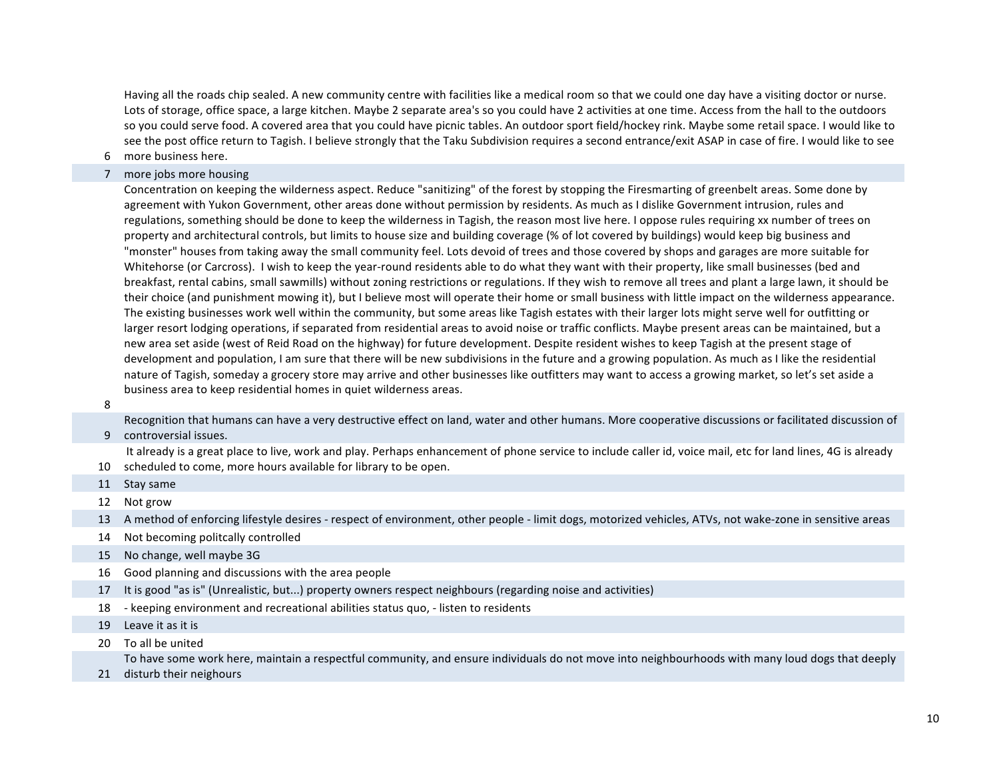Having all the roads chip sealed. A new community centre with facilities like a medical room so that we could one day have a visiting doctor or nurse. Lots of storage, office space, a large kitchen. Maybe 2 separate area's so you could have 2 activities at one time. Access from the hall to the outdoors so you could serve food. A covered area that you could have picnic tables. An outdoor sport field/hockey rink. Maybe some retail space. I would like to see the post office return to Tagish. I believe strongly that the Taku Subdivision requires a second entrance/exit ASAP in case of fire. I would like to see

- 6 more business here.
- 7 more jobs more housing

Concentration on keeping the wilderness aspect. Reduce "sanitizing" of the forest by stopping the Firesmarting of greenbelt areas. Some done by agreement with Yukon Government, other areas done without permission by residents. As much as I dislike Government intrusion, rules and regulations, something should be done to keep the wilderness in Tagish, the reason most live here. I oppose rules requiring xx number of trees on property and architectural controls, but limits to house size and building coverage (% of lot covered by buildings) would keep big business and "monster" houses from taking away the small community feel. Lots devoid of trees and those covered by shops and garages are more suitable for Whitehorse (or Carcross). I wish to keep the year-round residents able to do what they want with their property, like small businesses (bed and breakfast, rental cabins, small sawmills) without zoning restrictions or regulations. If they wish to remove all trees and plant a large lawn, it should be their choice (and punishment mowing it), but I believe most will operate their home or small business with little impact on the wilderness appearance. The existing businesses work well within the community, but some areas like Tagish estates with their larger lots might serve well for outfitting or larger resort lodging operations, if separated from residential areas to avoid noise or traffic conflicts. Maybe present areas can be maintained, but a new area set aside (west of Reid Road on the highway) for future development. Despite resident wishes to keep Tagish at the present stage of development and population, I am sure that there will be new subdivisions in the future and a growing population. As much as I like the residential nature of Tagish, someday a grocery store may arrive and other businesses like outfitters may want to access a growing market, so let's set aside a business area to keep residential homes in quiet wilderness areas.

8

Recognition that humans can have a very destructive effect on land, water and other humans. More cooperative discussions or facilitated discussion of

9 controversial issues.

10 scheduled to come, more hours available for library to be open. It already is a great place to live, work and play. Perhaps enhancement of phone service to include caller id, voice mail, etc for land lines, 4G is already

11 Stay same

12 Not grow

13 A method of enforcing lifestyle desires - respect of environment, other people - limit dogs, motorized vehicles, ATVs, not wake-zone in sensitive areas

- 14 Not becoming politcally controlled
- 15 No change, well maybe 3G
- 16 Good planning and discussions with the area people
- 17 It is good "as is" (Unrealistic, but...) property owners respect neighbours (regarding noise and activities)
- 18 keeping environment and recreational abilities status quo, listen to residents
- 19 Leave it as it is
- 20 To all be united

To have some work here, maintain a respectful community, and ensure individuals do not move into neighbourhoods with many loud dogs that deeply

21 disturb their neighours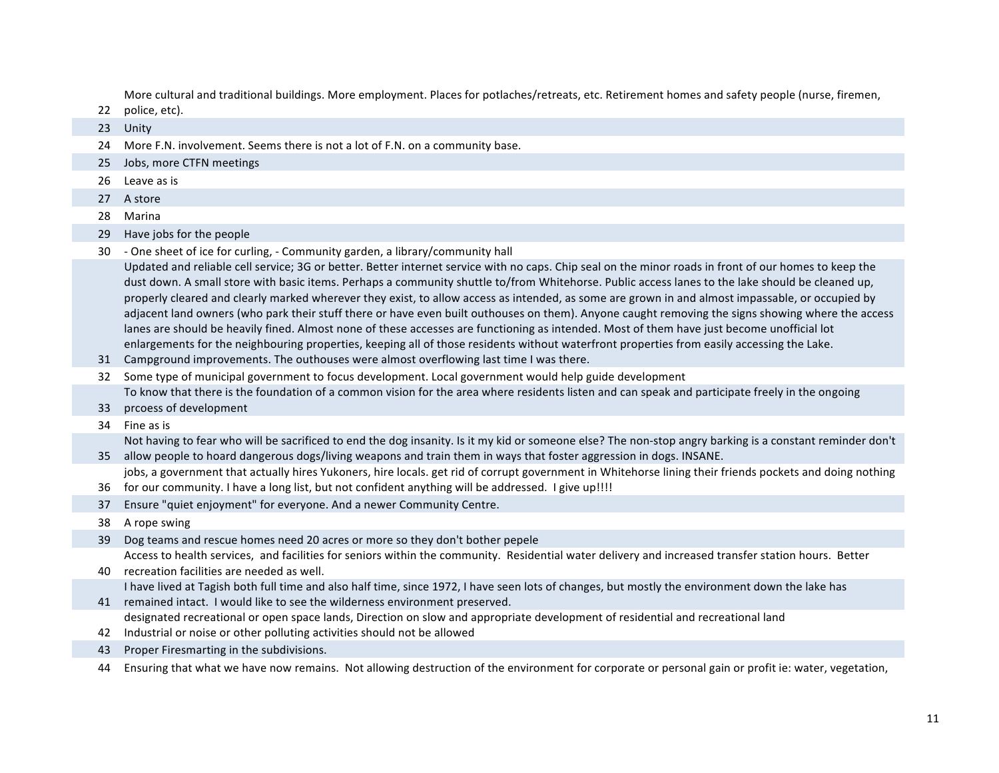More cultural and traditional buildings. More employment. Places for potlaches/retreats, etc. Retirement homes and safety people (nurse, firemen,

- 22 police, etc).
- 23 Unity
- 24 More F.N. involvement. Seems there is not a lot of F.N. on a community base.
- 25 Jobs, more CTFN meetings
- 26 Leave as is
- 27 A store
- 28 Marina
- 29 Have jobs for the people
- 30 One sheet of ice for curling, Community garden, a library/community hall

Updated and reliable cell service; 3G or better. Better internet service with no caps. Chip seal on the minor roads in front of our homes to keep the dust down. A small store with basic items. Perhaps a community shuttle to/from Whitehorse. Public access lanes to the lake should be cleaned up, properly cleared and clearly marked wherever they exist, to allow access as intended, as some are grown in and almost impassable, or occupied by adjacent land owners (who park their stuff there or have even built outhouses on them). Anyone caught removing the signs showing where the access lanes are should be heavily fined. Almost none of these accesses are functioning as intended. Most of them have just become unofficial lot enlargements for the neighbouring properties, keeping all of those residents without waterfront properties from easily accessing the Lake.

- 31 Campground improvements. The outhouses were almost overflowing last time I was there.
- 32 Some type of municipal government to focus development. Local government would help guide development To know that there is the foundation of a common vision for the area where residents listen and can speak and participate freely in the ongoing
- 33 prcoess of development
- 34 Fine as is

35 allow people to hoard dangerous dogs/living weapons and train them in ways that foster aggression in dogs. INSANE. Not having to fear who will be sacrificed to end the dog insanity. Is it my kid or someone else? The non-stop angry barking is a constant reminder don't

36 for our community. I have a long list, but not confident anything will be addressed. I give up!!!! jobs, a government that actually hires Yukoners, hire locals. get rid of corrupt government in Whitehorse lining their friends pockets and doing nothing

37 Ensure "quiet enjoyment" for everyone. And a newer Community Centre.

38 A rope swing

39 Dog teams and rescue homes need 20 acres or more so they don't bother pepele

Access to health services, and facilities for seniors within the community. Residential water delivery and increased transfer station hours. Better

- 40 recreation facilities are needed as well. I have lived at Tagish both full time and also half time, since 1972, I have seen lots of changes, but mostly the environment down the lake has
- 41 remained intact. I would like to see the wilderness environment preserved. designated recreational or open space lands, Direction on slow and appropriate development of residential and recreational land
- 42 Industrial or noise or other polluting activities should not be allowed
- 43 Proper Firesmarting in the subdivisions.

44 Ensuring that what we have now remains. Not allowing destruction of the environment for corporate or personal gain or profit ie: water, vegetation,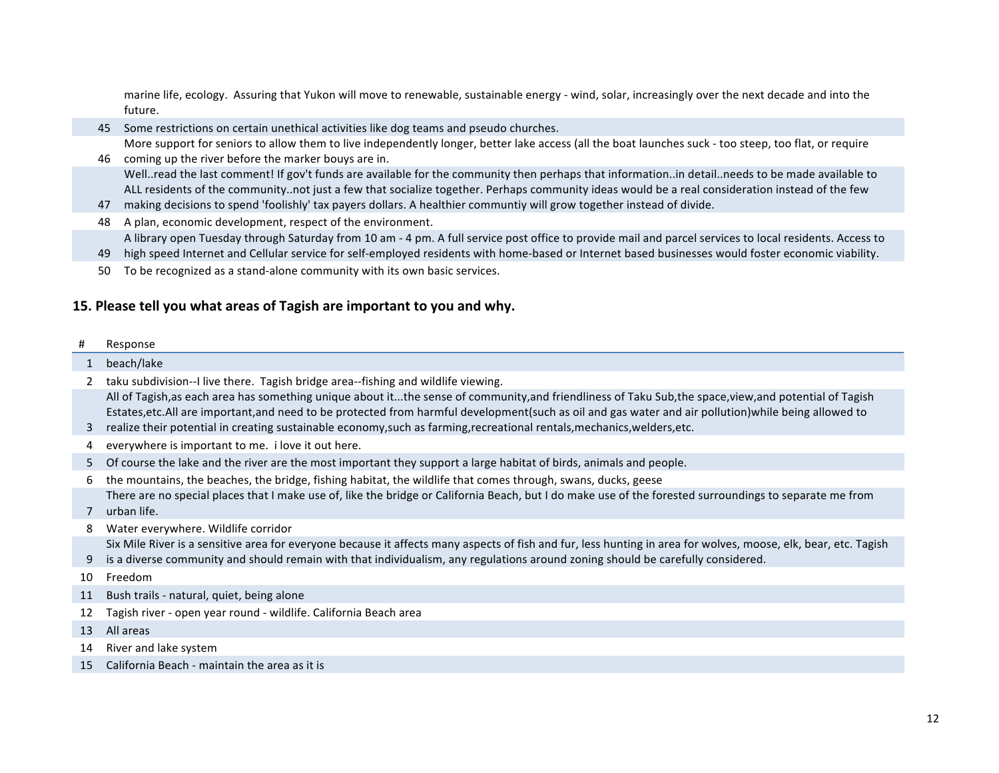marine life, ecology. Assuring that Yukon will move to renewable, sustainable energy - wind, solar, increasingly over the next decade and into the future.

- 45 Some restrictions on certain unethical activities like dog teams and pseudo churches.
- 46 coming up the river before the marker bouys are in. More support for seniors to allow them to live independently longer, better lake access (all the boat launches suck - too steep, too flat, or require
- Well..read the last comment! If gov't funds are available for the community then perhaps that information..in detail..needs to be made available to ALL residents of the community..not just a few that socialize together. Perhaps community ideas would be a real consideration instead of the few
- 47 making decisions to spend 'foolishly' tax payers dollars. A healthier communtiy will grow together instead of divide.
- 48 A plan, economic development, respect of the environment.
- A library open Tuesday through Saturday from 10 am 4 pm. A full service post office to provide mail and parcel services to local residents. Access to
- 49 high speed Internet and Cellular service for self-employed residents with home-based or Internet based businesses would foster economic viability.
- 50 To be recognized as a stand-alone community with its own basic services.

# **15. Please tell you what areas of Tagish are important to you and why.**

#### # Response

#### 1 beach/lake

2 taku subdivision--I live there. Tagish bridge area--fishing and wildlife viewing.

All of Tagish,as each area has something unique about it...the sense of community,and friendliness of Taku Sub,the space,view,and potential of Tagish Estates,etc.All are important,and need to be protected from harmful development(such as oil and gas water and air pollution)while being allowed to

- 3 realize their potential in creating sustainable economy, such as farming, recreational rentals, mechanics, welders, etc.
- 4 everywhere is important to me. i love it out here.
- 5 Of course the lake and the river are the most important they support a large habitat of birds, animals and people.
- 6 the mountains, the beaches, the bridge, fishing habitat, the wildlife that comes through, swans, ducks, geese
- 7 urban life. There are no special places that I make use of, like the bridge or California Beach, but I do make use of the forested surroundings to separate me from
- 8 Water everywhere. Wildlife corridor
- Six Mile River is a sensitive area for everyone because it affects many aspects of fish and fur, less hunting in area for wolves, moose, elk, bear, etc. Tagish
- 9 is a diverse community and should remain with that individualism, any regulations around zoning should be carefully considered.

10 Freedom

- 11 Bush trails natural, quiet, being alone
- 12 Tagish river open year round wildlife. California Beach area
- 13 All areas
- 14 River and lake system
- 15 California Beach maintain the area as it is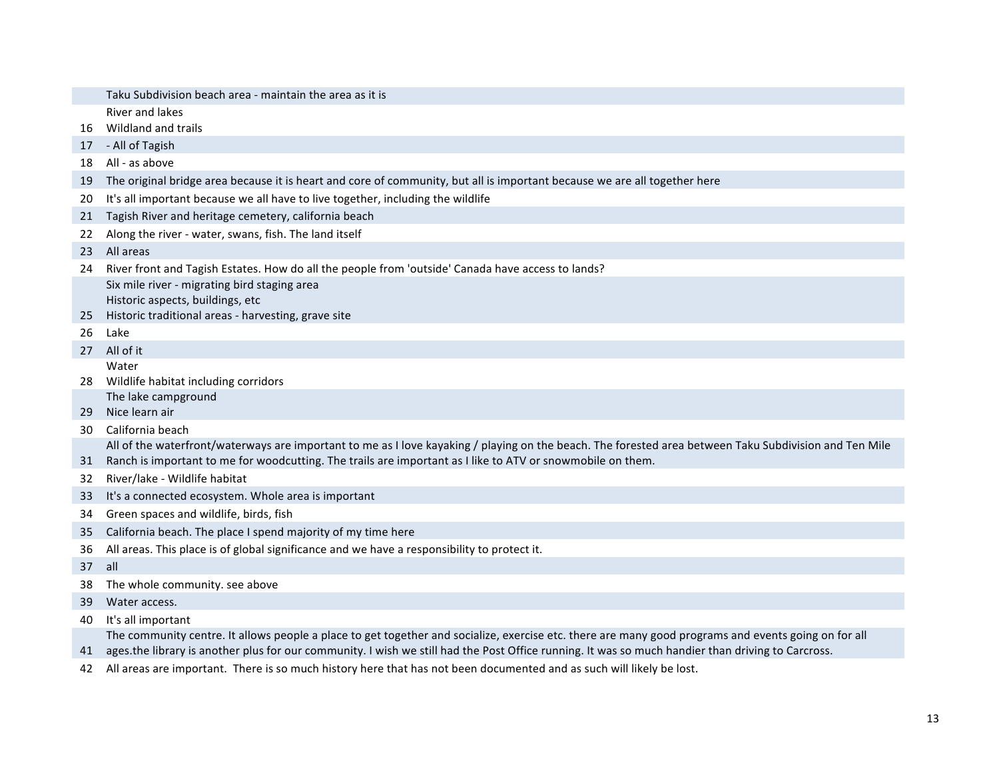|    | Taku Subdivision beach area - maintain the area as it is                                                                                               |  |  |  |
|----|--------------------------------------------------------------------------------------------------------------------------------------------------------|--|--|--|
|    | River and lakes                                                                                                                                        |  |  |  |
| 16 | Wildland and trails                                                                                                                                    |  |  |  |
| 17 | - All of Tagish                                                                                                                                        |  |  |  |
| 18 | All - as above                                                                                                                                         |  |  |  |
| 19 | The original bridge area because it is heart and core of community, but all is important because we are all together here                              |  |  |  |
| 20 | It's all important because we all have to live together, including the wildlife                                                                        |  |  |  |
| 21 | Tagish River and heritage cemetery, california beach                                                                                                   |  |  |  |
| 22 | Along the river - water, swans, fish. The land itself                                                                                                  |  |  |  |
| 23 | All areas                                                                                                                                              |  |  |  |
| 24 | River front and Tagish Estates. How do all the people from 'outside' Canada have access to lands?                                                      |  |  |  |
|    | Six mile river - migrating bird staging area                                                                                                           |  |  |  |
|    | Historic aspects, buildings, etc                                                                                                                       |  |  |  |
| 25 | Historic traditional areas - harvesting, grave site                                                                                                    |  |  |  |
| 26 | Lake                                                                                                                                                   |  |  |  |
| 27 | All of it                                                                                                                                              |  |  |  |
|    | Water                                                                                                                                                  |  |  |  |
| 28 | Wildlife habitat including corridors                                                                                                                   |  |  |  |
|    | The lake campground                                                                                                                                    |  |  |  |
| 29 | Nice learn air                                                                                                                                         |  |  |  |
| 30 | California beach                                                                                                                                       |  |  |  |
|    | All of the waterfront/waterways are important to me as I love kayaking / playing on the beach. The forested area between Taku Subdivision and Ten Mile |  |  |  |
| 31 | Ranch is important to me for woodcutting. The trails are important as I like to ATV or snowmobile on them.                                             |  |  |  |
| 32 | River/lake - Wildlife habitat                                                                                                                          |  |  |  |
| 33 | It's a connected ecosystem. Whole area is important                                                                                                    |  |  |  |
| 34 | Green spaces and wildlife, birds, fish                                                                                                                 |  |  |  |
| 35 | California beach. The place I spend majority of my time here                                                                                           |  |  |  |
| 36 | All areas. This place is of global significance and we have a responsibility to protect it.                                                            |  |  |  |
| 37 | all                                                                                                                                                    |  |  |  |
| 38 | The whole community. see above                                                                                                                         |  |  |  |
| 39 | Water access.                                                                                                                                          |  |  |  |
| 40 | It's all important                                                                                                                                     |  |  |  |
|    | The community centre. It allows people a place to get together and socialize, exercise etc. there are many good programs and events going on for all   |  |  |  |

41 ages.the library is another plus for our community. I wish we still had the Post Office running. It was so much handier than driving to Carcross.

42 All areas are important. There is so much history here that has not been documented and as such will likely be lost.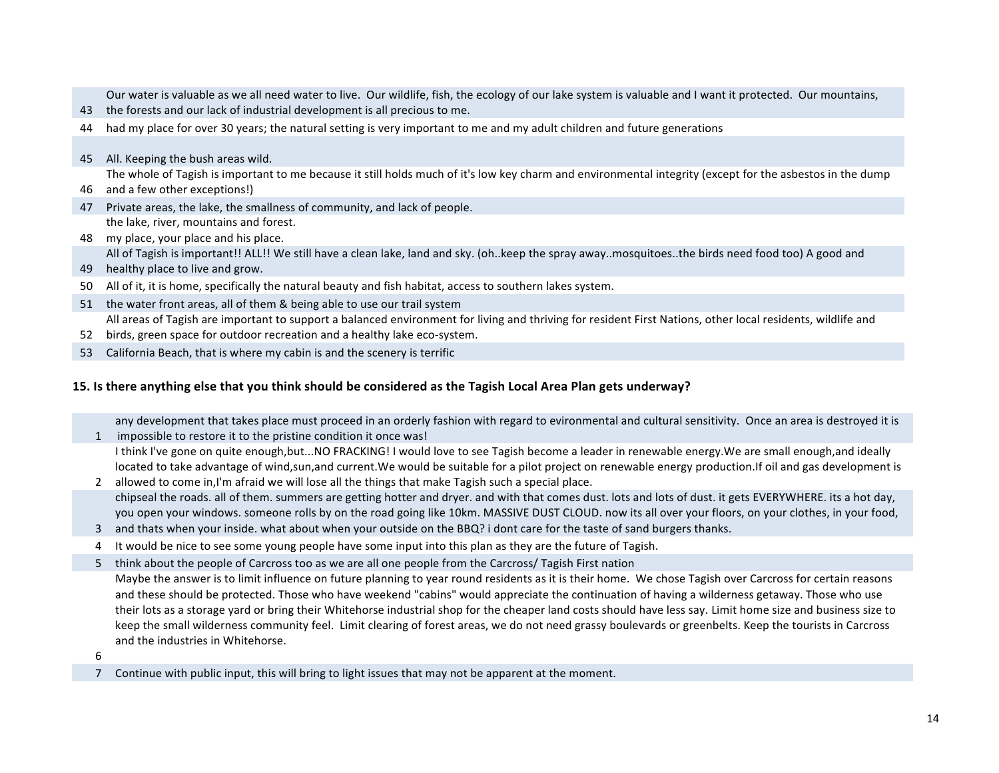Our water is valuable as we all need water to live. Our wildlife, fish, the ecology of our lake system is valuable and I want it protected. Our mountains,

- 43 the forests and our lack of industrial development is all precious to me.
- 44 had my place for over 30 years; the natural setting is very important to me and my adult children and future generations
- 45 All. Keeping the bush areas wild.

The whole of Tagish is important to me because it still holds much of it's low key charm and environmental integrity (except for the asbestos in the dump

- 46 and a few other exceptions!)
- 47 Private areas, the lake, the smallness of community, and lack of people. the lake, river, mountains and forest.
- 48 my place, your place and his place. All of Tagish is important!! ALL!! We still have a clean lake, land and sky. (oh..keep the spray away..mosquitoes..the birds need food too) A good and
- 49 healthy place to live and grow.
- 50 All of it, it is home, specifically the natural beauty and fish habitat, access to southern lakes system.
- 51 the water front areas, all of them & being able to use our trail system All areas of Tagish are important to support a balanced environment for living and thriving for resident First Nations, other local residents, wildlife and
- 52 birds, green space for outdoor recreation and a healthy lake eco-system.
- 53 California Beach, that is where my cabin is and the scenery is terrific

## **15. Is there anything else that you think should be considered as the Tagish Local Area Plan gets underway?**

1 impossible to restore it to the pristine condition it once was! any development that takes place must proceed in an orderly fashion with regard to evironmental and cultural sensitivity. Once an area is destroyed it is

I think I've gone on quite enough,but...NO FRACKING! I would love to see Tagish become a leader in renewable energy.We are small enough,and ideally located to take advantage of wind,sun,and current. We would be suitable for a pilot project on renewable energy production. If oil and gas development is

- 2 allowed to come in,I'm afraid we will lose all the things that make Tagish such a special place. chipseal the roads. all of them. summers are getting hotter and dryer. and with that comes dust. lots and lots of dust. it gets EVERYWHERE. its a hot dav. you open your windows. someone rolls by on the road going like 10km. MASSIVE DUST CLOUD. now its all over your floors, on your clothes, in your food,
- 3 and thats when your inside. what about when your outside on the BBQ? i dont care for the taste of sand burgers thanks.
- 4 It would be nice to see some young people have some input into this plan as they are the future of Tagish.
- 5 think about the people of Carcross too as we are all one people from the Carcross/ Tagish First nation

Maybe the answer is to limit influence on future planning to year round residents as it is their home. We chose Tagish over Carcross for certain reasons and these should be protected. Those who have weekend "cabins" would appreciate the continuation of having a wilderness getaway. Those who use their lots as a storage yard or bring their Whitehorse industrial shop for the cheaper land costs should have less say. Limit home size and business size to keep the small wilderness community feel. Limit clearing of forest areas, we do not need grassy boulevards or greenbelts. Keep the tourists in Carcross and the industries in Whitehorse.

- 6
- 7 Continue with public input, this will bring to light issues that may not be apparent at the moment.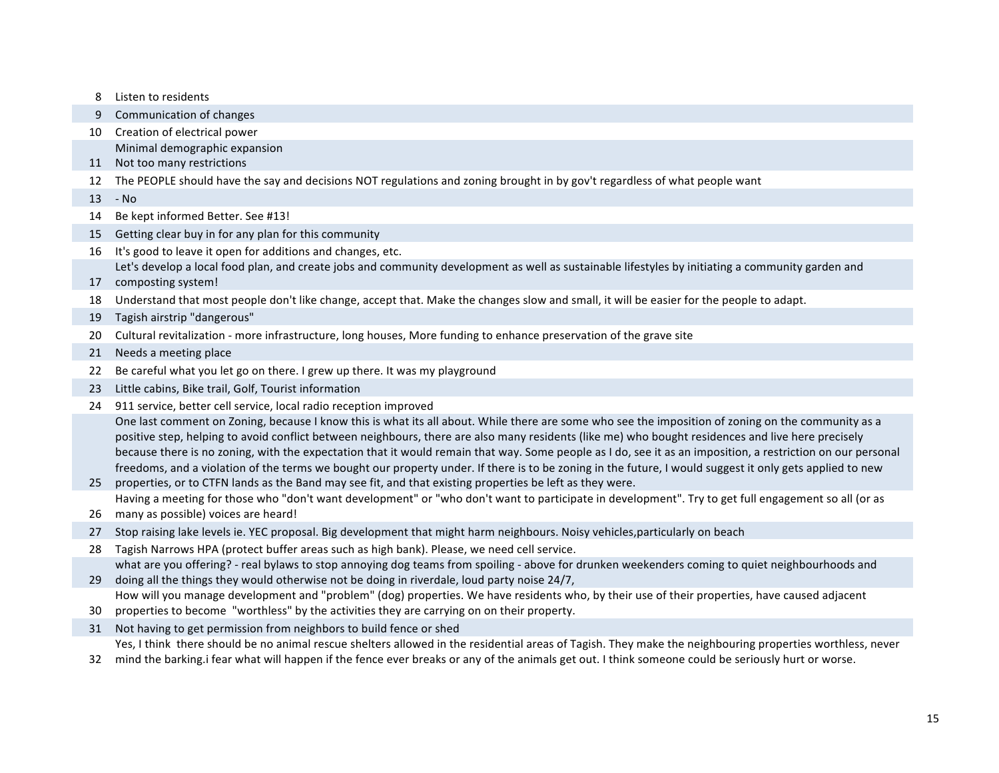8 Listen to residents 9 Communication of changes 10 Creation of electrical power 11 Not too many restrictions Minimal demographic expansion 12 The PEOPLE should have the say and decisions NOT regulations and zoning brought in by gov't regardless of what people want 13 - No 14 Be kept informed Better. See #13! 15 Getting clear buy in for any plan for this community 16 It's good to leave it open for additions and changes, etc. 17 composting system! Let's develop a local food plan, and create jobs and community development as well as sustainable lifestyles by initiating a community garden and 18 Understand that most people don't like change, accept that. Make the changes slow and small, it will be easier for the people to adapt. 19 Tagish airstrip "dangerous" 20 Cultural revitalization - more infrastructure, long houses, More funding to enhance preservation of the grave site 21 Needs a meeting place 22 Be careful what you let go on there. I grew up there. It was my playground 23 Little cabins, Bike trail, Golf, Tourist information 24 911 service, better cell service, local radio reception improved 25 properties, or to CTFN lands as the Band may see fit, and that existing properties be left as they were. One last comment on Zoning, because I know this is what its all about. While there are some who see the imposition of zoning on the community as a positive step, helping to avoid conflict between neighbours, there are also many residents (like me) who bought residences and live here precisely because there is no zoning, with the expectation that it would remain that way. Some people as I do, see it as an imposition, a restriction on our personal freedoms, and a violation of the terms we bought our property under. If there is to be zoning in the future, I would suggest it only gets applied to new 26 many as possible) voices are heard! Having a meeting for those who "don't want development" or "who don't want to participate in development". Try to get full engagement so all (or as 27 Stop raising lake levels ie. YEC proposal. Big development that might harm neighbours. Noisy vehicles,particularly on beach 28 Tagish Narrows HPA (protect buffer areas such as high bank). Please, we need cell service. 29 doing all the things they would otherwise not be doing in riverdale, loud party noise 24/7, what are you offering? - real bylaws to stop annoying dog teams from spoiling - above for drunken weekenders coming to quiet neighbourhoods and 30 properties to become "worthless" by the activities they are carrying on on their property. How will you manage development and "problem" (dog) properties. We have residents who, by their use of their properties, have caused adjacent 31 Not having to get permission from neighbors to build fence or shed 32 mind the barking.i fear what will happen if the fence ever breaks or any of the animals get out. I think someone could be seriously hurt or worse. Yes, I think there should be no animal rescue shelters allowed in the residential areas of Tagish. They make the neighbouring properties worthless, never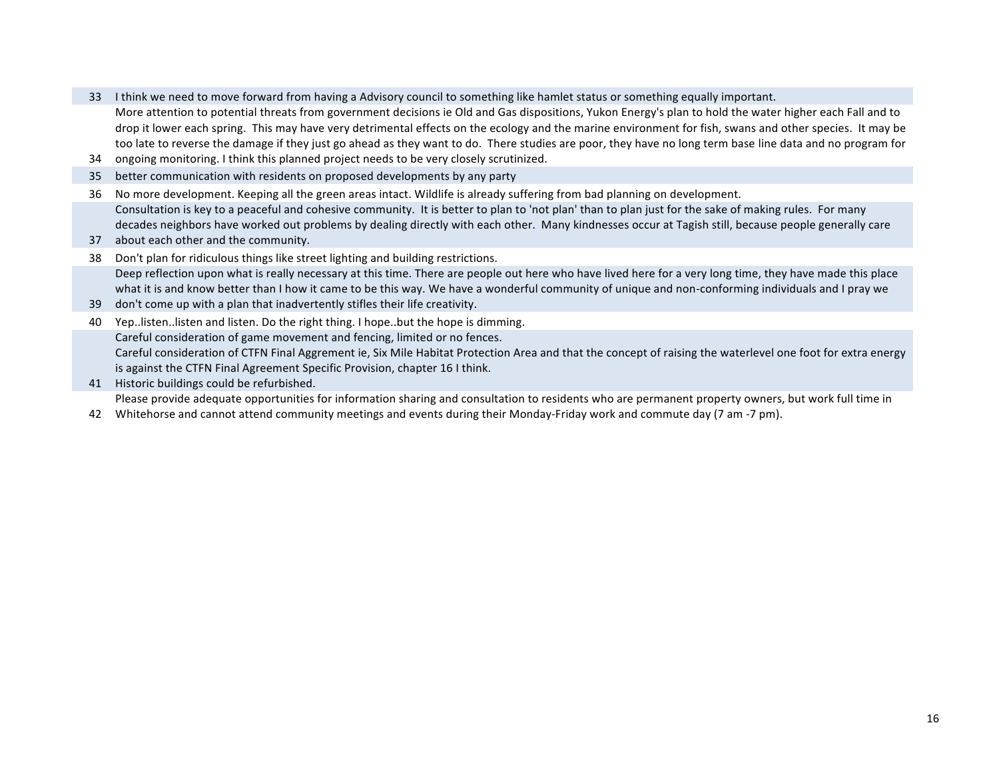- 33 I think we need to move forward from having a Advisory council to something like hamlet status or something equally important.
	- More attention to potential threats from government decisions ie Old and Gas dispositions, Yukon Energy's plan to hold the water higher each Fall and to drop it lower each spring. This may have very detrimental effects on the ecology and the marine environment for fish, swans and other species. It may be too late to reverse the damage if they just go ahead as they want to do. There studies are poor, they have no long term base line data and no program for
- 34 ongoing monitoring. I think this planned project needs to be very closely scrutinized.
- 35 better communication with residents on proposed developments by any party
- 36 No more development. Keeping all the green areas intact. Wildlife is already suffering from bad planning on development. Consultation is key to a peaceful and cohesive community. It is better to plan to 'not plan' than to plan just for the sake of making rules. For many decades neighbors have worked out problems by dealing directly with each other. Many kindnesses occur at Tagish still, because people generally care
- 37 about each other and the community.
- 38 Don't plan for ridiculous things like street lighting and building restrictions. Deep reflection upon what is really necessary at this time. There are people out here who have lived here for a very long time, they have made this place what it is and know better than I how it came to be this way. We have a wonderful community of unique and non-conforming individuals and I pray we
- 39 don't come up with a plan that inadvertently stifles their life creativity.
- 40 Yep..listen..listen and listen. Do the right thing. I hope..but the hope is dimming. Careful consideration of game movement and fencing, limited or no fences. Careful consideration of CTFN Final Aggrement ie, Six Mile Habitat Protection Area and that the concept of raising the waterlevel one foot for extra energy is against the CTFN Final Agreement Specific Provision, chapter 16 I think.
- 41 Historic buildings could be refurbished.

Please provide adequate opportunities for information sharing and consultation to residents who are permanent property owners, but work full time in

42 Whitehorse and cannot attend community meetings and events during their Monday-Friday work and commute day (7 am -7 pm).